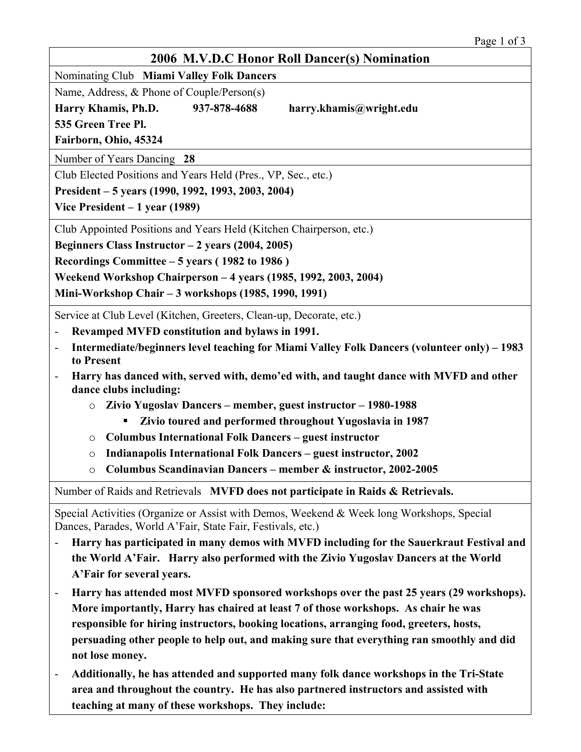| 2006 M.V.D.C Honor Roll Dancer(s) Nomination                                                                                                             |
|----------------------------------------------------------------------------------------------------------------------------------------------------------|
| Nominating Club Miami Valley Folk Dancers                                                                                                                |
| Name, Address, & Phone of Couple/Person(s)                                                                                                               |
| Harry Khamis, Ph.D.<br>937-878-4688<br>harry.khamis@wright.edu                                                                                           |
| 535 Green Tree Pl.                                                                                                                                       |
| Fairborn, Ohio, 45324                                                                                                                                    |
| Number of Years Dancing 28                                                                                                                               |
| Club Elected Positions and Years Held (Pres., VP, Sec., etc.)                                                                                            |
| President – 5 years (1990, 1992, 1993, 2003, 2004)                                                                                                       |
| Vice President $-1$ year (1989)                                                                                                                          |
| Club Appointed Positions and Years Held (Kitchen Chairperson, etc.)                                                                                      |
| Beginners Class Instructor $-2$ years (2004, 2005)                                                                                                       |
| Recordings Committee – 5 years (1982 to 1986)                                                                                                            |
| Weekend Workshop Chairperson - 4 years (1985, 1992, 2003, 2004)                                                                                          |
| Mini-Workshop Chair - 3 workshops (1985, 1990, 1991)                                                                                                     |
| Service at Club Level (Kitchen, Greeters, Clean-up, Decorate, etc.)                                                                                      |
| Revamped MVFD constitution and bylaws in 1991.                                                                                                           |
| Intermediate/beginners level teaching for Miami Valley Folk Dancers (volunteer only) – 1983<br>$\overline{\phantom{a}}$<br>to Present                    |
| Harry has danced with, served with, demo'ed with, and taught dance with MVFD and other<br>$\overline{\phantom{a}}$<br>dance clubs including:             |
| Zivio Yugoslav Dancers – member, guest instructor – 1980-1988<br>$\circ$                                                                                 |
| Zivio toured and performed throughout Yugoslavia in 1987                                                                                                 |
| <b>Columbus International Folk Dancers – guest instructor</b><br>O                                                                                       |
| Indianapolis International Folk Dancers - guest instructor, 2002<br>O                                                                                    |
| Columbus Scandinavian Dancers - member & instructor, 2002-2005<br>$\circ$                                                                                |
| Number of Raids and Retrievals MVFD does not participate in Raids & Retrievals.                                                                          |
| Special Activities (Organize or Assist with Demos, Weekend & Week long Workshops, Special<br>Dances, Parades, World A'Fair, State Fair, Festivals, etc.) |
| Harry has participated in many demos with MVFD including for the Sauerkraut Festival and                                                                 |
| the World A'Fair. Harry also performed with the Zivio Yugoslav Dancers at the World                                                                      |
| A'Fair for several years.                                                                                                                                |
| Harry has attended most MVFD sponsored workshops over the past 25 years (29 workshops).<br>$\blacksquare$                                                |
| More importantly, Harry has chaired at least 7 of those workshops. As chair he was                                                                       |
| responsible for hiring instructors, booking locations, arranging food, greeters, hosts,                                                                  |
| persuading other people to help out, and making sure that everything ran smoothly and did                                                                |
| not lose money.                                                                                                                                          |
| Additionally, he has attended and supported many folk dance workshops in the Tri-State                                                                   |

**area and throughout the country. He has also partnered instructors and assisted with** 

**teaching at many of these workshops. They include:**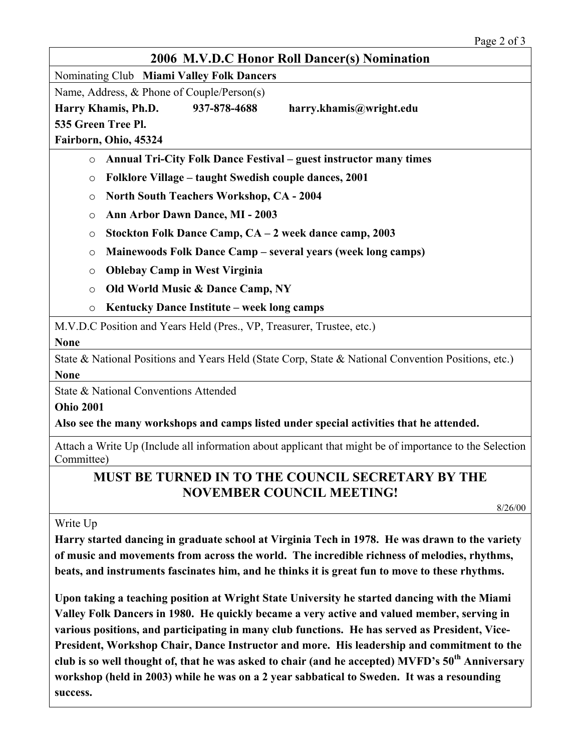| 2006 M.V.D.C Honor Roll Dancer(s) Nomination                                                                          |
|-----------------------------------------------------------------------------------------------------------------------|
| Nominating Club Miami Valley Folk Dancers                                                                             |
| Name, Address, & Phone of Couple/Person(s)                                                                            |
| Harry Khamis, Ph.D.<br>937-878-4688<br>harry.khamis@wright.edu                                                        |
| 535 Green Tree Pl.                                                                                                    |
| Fairborn, Ohio, 45324                                                                                                 |
| <b>Annual Tri-City Folk Dance Festival – guest instructor many times</b><br>$\circ$                                   |
| Folklore Village – taught Swedish couple dances, 2001<br>$\circ$                                                      |
| <b>North South Teachers Workshop, CA - 2004</b><br>O                                                                  |
| <b>Ann Arbor Dawn Dance, MI - 2003</b><br>O                                                                           |
| Stockton Folk Dance Camp, CA - 2 week dance camp, 2003<br>$\circ$                                                     |
| Mainewoods Folk Dance Camp - several years (week long camps)<br>$\circ$                                               |
| <b>Oblebay Camp in West Virginia</b><br>$\circ$                                                                       |
| Old World Music & Dance Camp, NY<br>$\circ$                                                                           |
| Kentucky Dance Institute – week long camps<br>$\circ$                                                                 |
| M.V.D.C Position and Years Held (Pres., VP, Treasurer, Trustee, etc.)                                                 |
| <b>None</b>                                                                                                           |
| State & National Positions and Years Held (State Corp, State & National Convention Positions, etc.)<br><b>None</b>    |
| State & National Conventions Attended                                                                                 |
| <b>Ohio 2001</b>                                                                                                      |
| Also see the many workshops and camps listed under special activities that he attended.                               |
| Attach a Write Up (Include all information about applicant that might be of importance to the Selection<br>Committee) |
| MUST BE TURNED IN TO THE COUNCIL SECRETARY BY THE<br><b>NOVEMBER COUNCIL MEETING!</b>                                 |
|                                                                                                                       |
| 8/26/00                                                                                                               |
| Write Up                                                                                                              |

**of music and movements from across the world. The incredible richness of melodies, rhythms, beats, and instruments fascinates him, and he thinks it is great fun to move to these rhythms.** 

**Upon taking a teaching position at Wright State University he started dancing with the Miami Valley Folk Dancers in 1980. He quickly became a very active and valued member, serving in various positions, and participating in many club functions. He has served as President, Vice-President, Workshop Chair, Dance Instructor and more. His leadership and commitment to the club is so well thought of, that he was asked to chair (and he accepted) MVFD's 50th Anniversary workshop (held in 2003) while he was on a 2 year sabbatical to Sweden. It was a resounding success.**